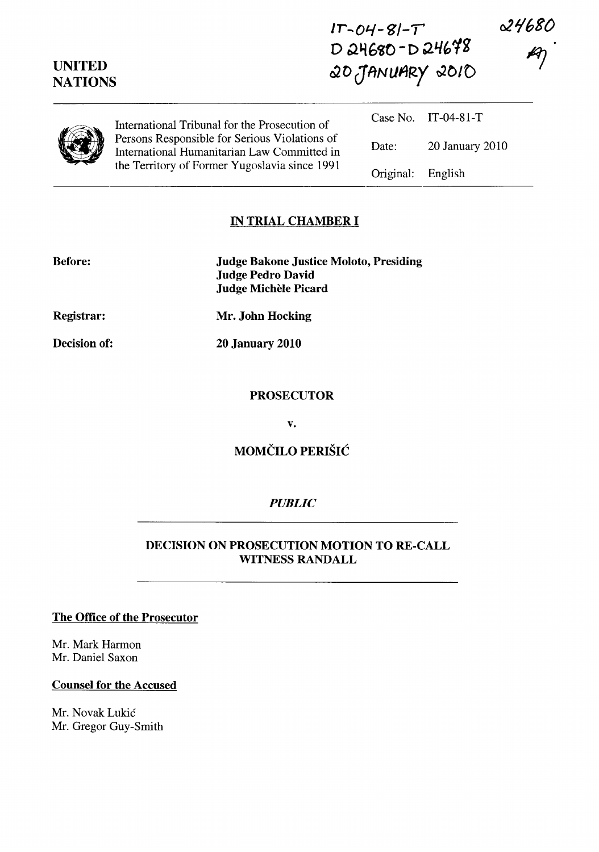| <b>UNITED</b><br><b>NATIONS</b> |                                                                                                                                               | $D$ 24680-D 24698<br>20 JANUARY 2010 |                     |  |
|---------------------------------|-----------------------------------------------------------------------------------------------------------------------------------------------|--------------------------------------|---------------------|--|
|                                 | International Tribunal for the Prosecution of                                                                                                 |                                      | Case No. IT-04-81-T |  |
|                                 | Persons Responsible for Serious Violations of<br>International Humanitarian Law Committed in<br>the Territory of Former Yugoslavia since 1991 | Date:                                | 20 January 2010     |  |
|                                 |                                                                                                                                               | Original:                            | English             |  |

**Ir-Ol-/-tJ/-T'** 

**021/680** 

## **IN TRIAL CHAMBER I**

| <b>Before:</b>    | <b>Judge Bakone Justice Moloto, Presiding</b><br><b>Judge Pedro David</b><br><b>Judge Michèle Picard</b> |
|-------------------|----------------------------------------------------------------------------------------------------------|
| <b>Registrar:</b> | Mr. John Hocking                                                                                         |

**Decision of:** 

**20 January 2010** 

#### **PROSECUTOR**

**v.** 

# **MOMCILO PERISIC**

### *PUBLIC*

# **DECISION ON PROSECUTION MOTION TO RE-CALL WITNESS RANDALL**

#### **The Office of the Prosecutor**

Mr. Mark Harmon Mr. Daniel Saxon

#### **Counsel for the Accused**

Mr. Novak Lukic Mr. Gregor Guy-Smith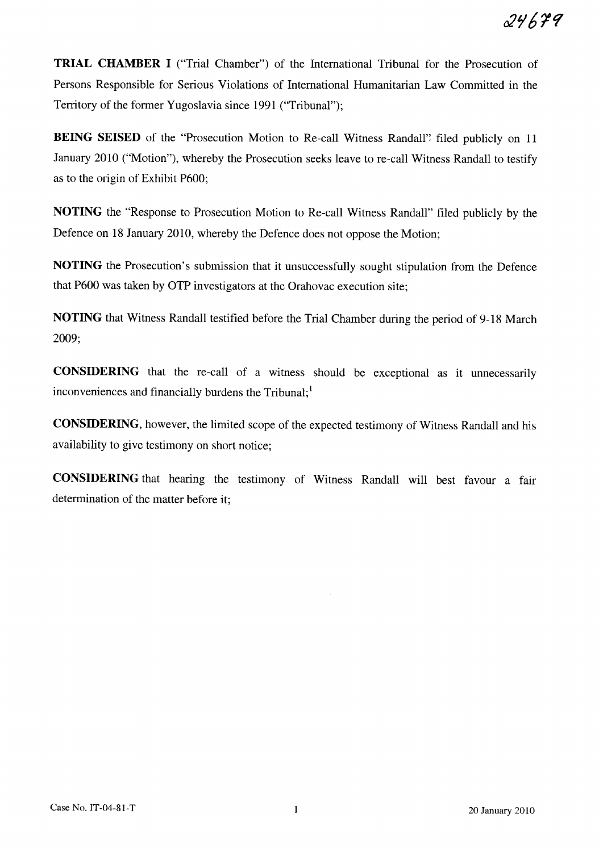**TRIAL CHAMBER I** ("Trial Chamber") of the International Tribunal for the Prosecution of Persons Responsible for Serious Violations of International Humanitarian Law Committed in the Territory of the former Yugoslavia since 1991 ("Tribunal");

**BEING SEISED** of the "Prosecution Motion to Re-call Witness Randall'; filed publicly on 11 January 2010 ("Motion"), whereby the Prosecution seeks leave to re-call Witness Randall to testify as to the origin of Exhibit P600;

**NOTING** the "Response to Prosecution Motion to Re-call Witness Randall" filed publicly by the Defence on 18 January 2010, whereby the Defence does not oppose the Motion;

**NOTING** the Prosecution's submission that it unsuccessfully sought stipulation from the Defence that P600 was taken by OTP investigators at the Orahovac execution site;

**NOTING** that Witness Randall testified before the Trial Chamber during the period of 9-18 March 2009;

**CONSIDERING** that the re-call of a witness should be exceptional as it unnecessarily inconveniences and financially burdens the  $Tribunal;$ <sup>1</sup>

**CONSIDERING,** however, the limited scope of the expected testimony of Witness Randall and his availability to give testimony on short notice;

**CONSIDERING** that hearing the testimony of Witness Randall will best favour a fair determination of the matter before it;